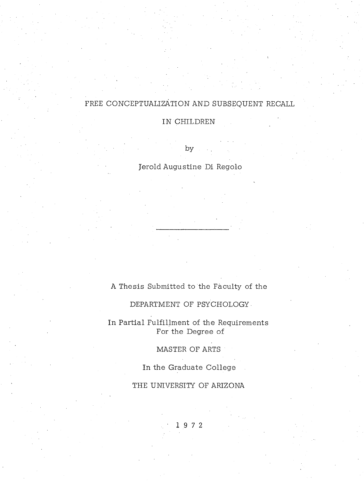# FREE CONCEPTUALIZATION AND SUBSEQUENT RECALL

# IN CHILDREN

by

Jerold Augustine Di Regolo

# A Thesis Submitted to the Faculty of the

# DEPARTMENT OF PSYCHOLOGY

In Partial Fulfillment of the Requirements For the Degree of

MASTER OF ARTS

In the Graduate College

THE UNIVERSITY OF ARIZONA

1 9 7 2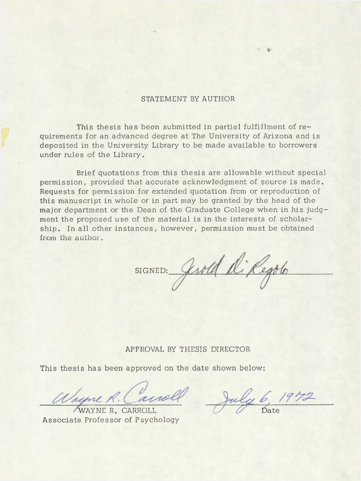## STATEMENT BY AUTHOR

This thesis has been submitted in partial fulfillment of requirements for an advanced degree at The University of Arizona and is deposited in the University Library to be made available to borrowers under rules of the Library.

Brief quotations from this thesis are allowable without special permission, provided that accurate acknowledgment of source is made. Requests for permission for extended quotation from or reproduction of this manuscript in whole or in part may be granted by the head of the major department or the Dean of the Graduate College when in his judgment the proposed use of the material is in the interests of scholarship. In all other instances, however, permission must be obtained from the author.

SIGNED: Gerold di Regolo

### APPROVAL BY THESIS DIRECTOR

This thesis has been approved on the date shown below:

Wayne R. Canol

A ssociate Professor of Psychology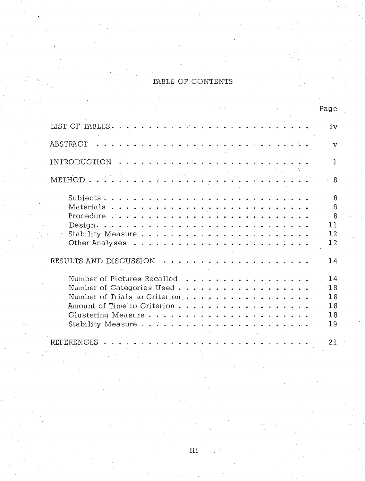# TABLE OF CONTENTS

| Page                                                                           |    |
|--------------------------------------------------------------------------------|----|
| LIST OF TABLES                                                                 | iv |
| ABSTRACT                                                                       | v  |
| <b>INTRODUCTION</b>                                                            |    |
| METHOD.<br>.<br>$\mathbf{r}$ , $\mathbf{r}$ , $\mathbf{r}$<br>.                | 8  |
|                                                                                | 8  |
|                                                                                | 8  |
|                                                                                | 8  |
| 11<br>$Design. \ldots \ldots \ldots \ldots \ldots \ldots \ldots \ldots \ldots$ |    |
|                                                                                | 12 |
|                                                                                | 12 |
|                                                                                |    |
| RESULTS AND DISCUSSION                                                         | 14 |
|                                                                                | 14 |
| Number of Pictures Recalled<br>Number of Categories Used<br>$-18$              |    |
| Number of Trials to Criterion                                                  | 18 |
| Amount of Time to Criterion                                                    | 18 |
|                                                                                | 18 |
| 19                                                                             |    |
|                                                                                |    |
| <b>REFERENCES</b><br>21                                                        |    |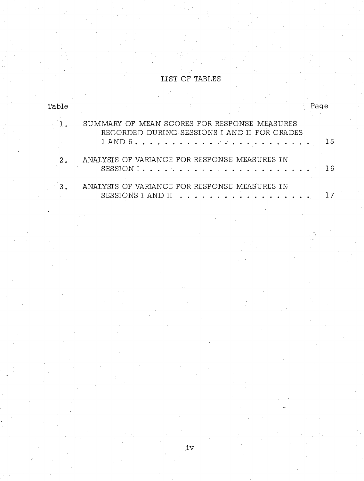# LIST OF TABLES

| Table         |                                                                                              |  | Page |
|---------------|----------------------------------------------------------------------------------------------|--|------|
|               | SUMMARY OF MEAN SCORES FOR RESPONSE MEASURES<br>RECORDED DURING SESSIONS I AND II FOR GRADES |  | 15   |
| 2.            | ANALYSIS OF VARIANCE FOR RESPONSE MEASURES IN                                                |  | 16   |
| $\mathcal{R}$ | ANALYSIS OF VARIANCE FOR RESPONSE MEASURES IN<br>SESSIONS I AND II                           |  |      |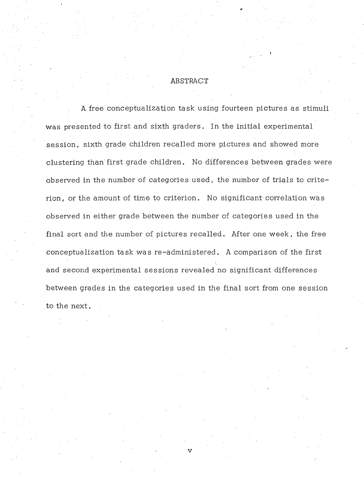### ABSTRACT

A free conceptualization task using fourteen pictures as stimuli was presented to first and sixth graders. In the initial experimental session, sixth grade children recalled more pictures and showed more clustering than first grade children. No differences between grades were observed in the number of categories used, the number of trials to criterion, or the amount of time to criterion. No significant correlation was observed in either grade between the number of categories used in the final sort and the number of pictures recalled. After one week, the free conceptualization task was re-administered. A comparison of the first and second experimental sessions revealed no significant differences between grades in the categories used in the final sort from one session to the next.

v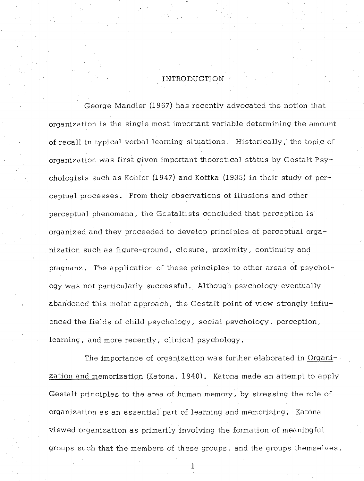# INTRODUCTION

George Mandler (1967) has recently advocated the notion that organization is the single most important variable determining the amount of recall in typical verbal learning situations. Historically, the topic of organization was first given important theoretical status by Gestalt Psychologists such as Kohler (1947) and Koffka (1935) in their study of perceptual processes. From their observations of illusions and other perceptual phenomena, the Gestaltists concluded that perception is organized and they proceeded to develop principles of perceptual organization such as figure-ground, closure, proximity, continuity and pragnanz. The application of these principles to other areas of psychology was not particularly successful. Although psychology eventually abandoned this molar approach, the Gestalt point of view strongly influenced the fields of child psychology, social psychology, perception, learning, and more recently, clinical psychology.

The importance of organization was further elaborated in Organization and memorization (Katona, 1940). Katona made an attempt to apply Gestalt principles to the area of human memory, by stressing the role of organization as an essential part of learning and memorizing. Katona viewed organization as primarily involving the formation of meaningful groups such that the members of these groups, and the groups them selves.

 $\mathbf{1}$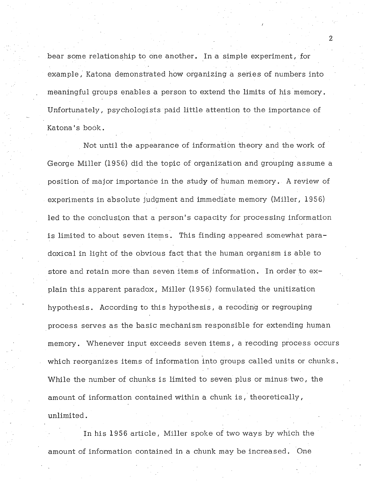bear some relationship to one another. In a simple experiment, for exam ple, Katona demonstrated how organizing a series of numbers into meaningful groups enables a person to extend the limits of his memory. U nfortunately, psychologists paid little attention to the importance of Katona's book.

Not until the appearance of information theory and the work of George Miller (1956) did the topic of organization and grouping assume a position of major importance in the study of human memory. A review of experiments in absolute judgment and immediate memory (Miller, 1956) led to the conclusion that a person's capacity for processing information is limited to about seven items. This finding appeared somewhat paradoxical in light of the obvious fact that the human organism is able to store and retain more than seven items of information. In order to explain this apparent paradox, Miller (1956) formulated the unitization hypothesis. According to this hypothesis, a recoding or regrouping process serves as the basic mechanism responsible for extending human memory. Whenever input exceeds seven items, a recoding process occurs which reorganizes items of information into groups called units or chunks. While the number of chunks is limited to seven plus or minus two, the amount of information contained within a chunk is, theoretically, unlimited.

In his 1956 article. Miller spoke of two ways by which the amount of information contained in a chunk may be increased. One

2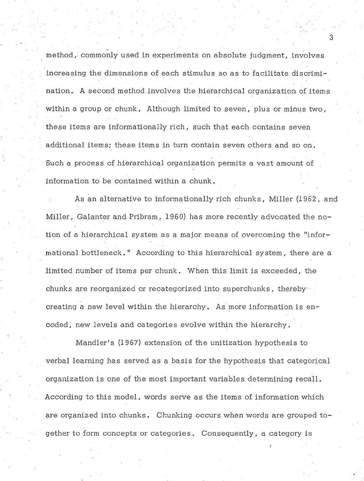method, commonly used in experiments on absolute judgment, involves increasing the dimensions of each stimulus so as to facilitate discrimination. A second method involves the hierarchical organization of items within a group or chunk. Although limited to seven, plus or minus two, these items are informationally rich, such that each contains seven additional items; these items in turn contain seven others and so on. Such a process of hierarchical organization permits a vast amount of information to be contained within a chunk.

As an alternative to informationally rich chunks, Miller (1962, and Miller, Galanter and Pribram, 1960) has more recently advocated the notion of a hierarchical system as a major means of overcoming the "informational bottleneck. " According to this hierarchical system , there are a limited number of items per chunk. When this limit is exceeded, the chunks are reorganized or recategorized into superchunks, thereby creating a new level within the hierarchy. As more information is encoded, new levels and categories evolve within the hierarchy.

M andler's (1967) extension of the unitization hypothesis to verbal learning has served as a basis for the hypothesis that categorical organization is one of the most important variables determining recall. According to this model, words serve as the items of information which are organized into chunks. Chunking occurs when words are grouped together to form concepts or categories. Consequently, a category is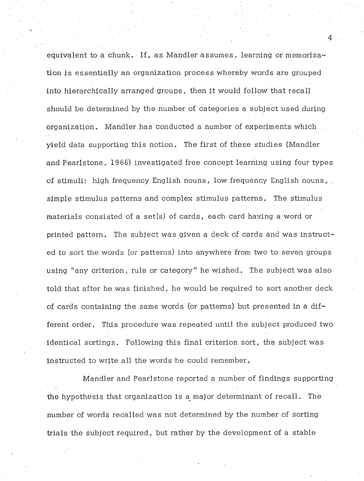equivalent to a chunk. If, as Mandler assumes, learning or memorization is essentially an organization process whereby words are grouped into hierarchically arranged groups, then it would follow that recall should be determined by the number of categories a subject used during organization. Mandler has conducted a number of experiments which yield data supporting this notion. The first of these studies (Mandler and Pearlstone, 1966) investigated free concept learning using four types of stimuli: high frequency English nouns, low frequency English nouns, simple stimulus patterns and complex stimulus patterns. The stimulus materials consisted of a set(s) of cards, each card having a word or printed pattern. The subject was given a deck of cards and was instructed to sort the words (or patterns) into anywhere from two to seven groups using "any criterion, rule or category" he wished. The subject was also told that after he was finished, he would be required to sort another deck of. cards containing the same words (or patterns) but presented in a different order. This procedure was repeated until the subject produced two identical sortings. Following this final criterion sort, the subject was instructed to write all the words he could remember.

Mandler and Pearlstone reported a number of findings supporting the hypothesis that organization is a major determinant of recall. The number of words recalled was not determined by the number of sorting trials the subject required, but rather by the development of a stable

 $\blacksquare$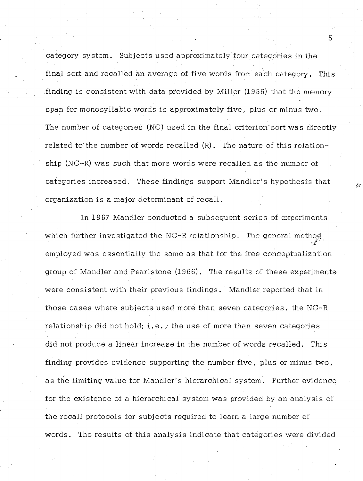category system. Subjects used approximately four categories in the final sort and recalled an average of five words from each category. This finding is consistent with data provided by Miller (1956) that the memory span for monosyllabic words is approximately five, plus or minus two. The number of categories (NC) used in the final criterion sort was directly related to the number of words recalled  $(R)$ . The nature of this relationship (NC-R) was such that more words were recalled as the number of categories increased. These findings support Mandler's hypothesis that organization is a major determinant of recall.

In 1967 Mandler conducted a subsequent series of experiments which further investigated the NC-R relationship. The general method employed was essentially the same as that for the free conceptualization group of Mandler and Pearlstone (1966). The results of these experiments were consistent with their previous findings. Mandler reported that in those cases where subjects used more than seven categories, the NC-R relationship did not hold; i.e., the use of more than seven categories did not produce a linear increase in the number of words recalled. This finding provides evidence supporting the number five, plus or minus two, as the limiting value for Mandler's hierarchical system. Further evidence for the existence of a hierarchical system was provided by an analysis of the recall protocols for subjects required to learn a large number of words. The results of this analysis indicate that categories were divided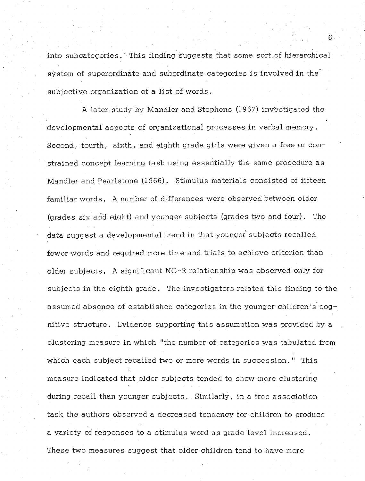into subcategories. This finding suggests that some sort of hierarchical system of superordinate and subordinate categories is involved in the subjective organization of a list of words.

A later study by Mandler and Stephens (1967) investigated the developmental aspects of organizational processes in verbal memory. Second, fourth, sixth, and eighth grade girls were given a free or constrained concept learning task using essentially the same procedure as Handler and Pearlstone (1966). Stimulus materials consisted of fifteen familiar words. A number of differences were observed between older (grades six and eight) and younger subjects (grades two and four). The data suggest a developmental trend in that younger subjects recalled fewer words and required more time and trials to achieve criterion than older subjects. A significant NC-R relationship was observed only for subjects in the eighth grade. The investigators related this finding to the assumed absence of established categories in the younger children's cognitive structure. Evidence supporting this assumption was provided by a clustering measure in which "the number of categories was tabulated from which each subject recalled two or more words in succession." This measure indicated that older subjects tended to show more clustering during recall than younger subjects. Similarly, in a free association task the authors observed a decreased tendency for children to produce a variety of responses to a stimulus word as grade level increased. These two measures suggest that older children tend to have more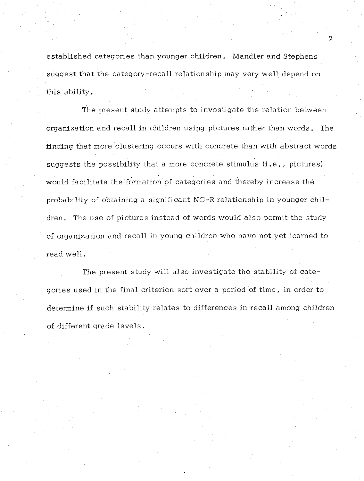established categories than younger children. Mandler and Stephens suggest that the category-recall relationship may very well depend on this ability.

The present study attempts to investigate the relation between organization and recall in children using pictures rather than words. The finding that more clustering occurs with concrete than with abstract words suggests the possibility that a more concrete stimulus  $(i.e., pictures)$ would facilitate the formation of categories and thereby increase the probability of obtaining a significant NC-R relationship in younger children. The use of pictures instead of words would also permit the study of organization and recall in young children who have not yet learned to read well.

The present study will also investigate the stability of categories used in the final criterion sort over a period of time, in order to determine if such stability relates to differences in recall among children of different grade levels.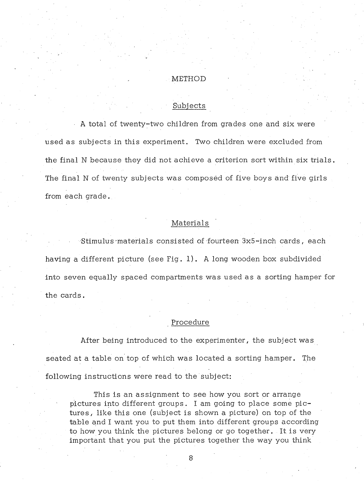#### METHOD

### Subjects

A total of twenty-two children from grades one and six were used as subjects in this experiment. Two children were excluded from the final N because they did not achieve a criterion sort within six trials. The final N of twenty subjects was composed of five boys and five girls from each grade.

### Materials

Stimulus materials consisted of fourteen 3x5-inch cards, each having a different picture (see Fig. 1). A long wooden box subdivided into seven equally spaced compartments was used as a sorting hamper for the cards.

### Procedure

After being introduced to the experimenter, the subject was seated at a table on top of which was located a sorting hamper. The following instructions were read to the subject:

This is an assignment to see how you sort or arrange pictures into different groups. I am going to place some pictures, like this one (subject is shown a picture) on top of the table and I want you to put them into different groups according to how you think the pictures belong or go together. It is very important that you put the pictures together the way you think

8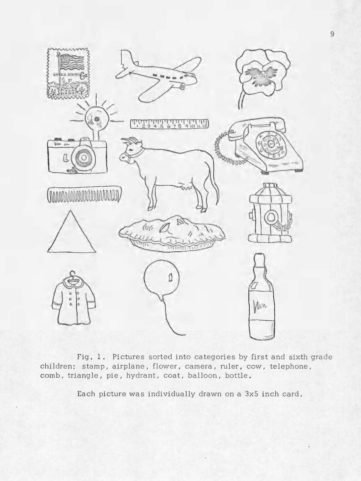

9

Fig. 1. Pictures sorted into categories by first and sixth grade children: stamp, airplane, flower, camera, ruler, cow, telephone, comb, triangle, pie, hydrant, coat, balloon, bottle.

Each picture was individually drawn on a 3x5 inch card.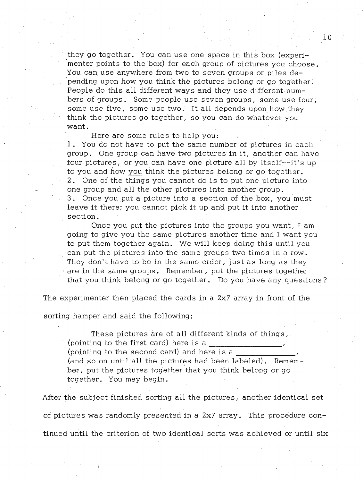they go together. You can use one space in this box (experimenter points to the box) for each group of pictures you choose. You can use anywhere from two to seven groups or piles de- . pending upon how you think the pictures belong or go together. People do this all different ways and they use different numbers of groups . Some people use seven groups, some use four, some use five, some use two. It all depends upon how they think the pictures go together, so you can do whatever you want.

Here are some rules to help you: 1. You do not have to put the same number of pictures in each group. One group can have two pictures in it, another can have four pictures, or you can have one picture all by itself--it's up to you and how you think the pictures belong or go together. 2. One of the things you cannot do is to put one picture into one group and all the other pictures into another group. 3. Once you put a picture into a section of the box, you must leave it there; you cannot pick it up and put it into another section.

Once you put the pictures into the groups you want,  $I$  am going to give you the same pictures another time and I want you to put them together again. We will keep doing this until you can put the pictures into the same groups two times in a row. They don't have to be in the same order, just as long as they are in the same groups. Remember, put the pictures together that you think belong or go together. Do you have any questions?

The experimenter then placed the cards in a 2x7 array in front of the

sorting hamper and said the following:

These pictures are of all different kinds of things, (pointing to the first card) here is a (pointing to the second card) and here is a \_\_\_\_\_\_\_\_\_\_\_ (and so on until all the pictures had been labeled). Remember, put the pictures together that you think belong or go together. You may begin.

After the subject finished sorting all the pictures, another identical set of pictures was randomly presented in a 2x7 array . This procedure continued until the criterion of two identical sorts was achieved or until six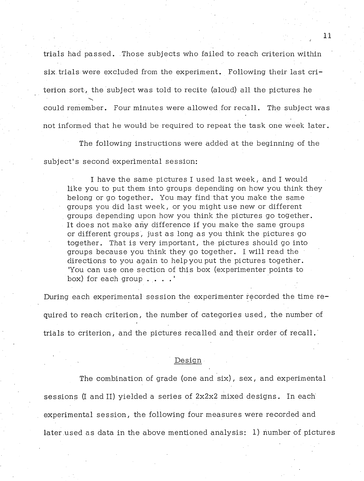trials had passed. Those subjects who failed to reach criterion within six trials were excluded from the experiment. Following their last criterion sort, the subject was told to recite (aloud) all the pictures he could remember. Four minutes were allowed for recall. The subject was not informed that he would be required to repeat the task one week later.

: ' and ' British and ' and ' and ' and ' and ' and ' and ' and ' and ' and ' and ' and ' and ' and ' and ' an<br>He had the state of the state of the state of the state of the state of the state of the state of the state of

The following instructions were added at the beginning of the subject's second experimental session:

I have the same pictures I used last week, and I would like you to put them into groups depending on how you think they belong or go together. You may find that you make the same groups you did last week, or you might use new or different groups depending upon how you think the pictures go together. It does not make any difference if you make the same groups or different groups, just as long as you think the pictures go together. That is very im portant, the pictures should go into groups because you think they go together. I will read the directions to you again to help you put the pictures together. 'You can use one section of this box (experimenter points to box) for each group . . . .'

During each experimental session the experimenter recorded the time required to reach criterion, the number of categories used, the number of trials to criterion, and the pictures recalled and their order of recall.

#### Design

The combination of grade (one and six), sex, and experimental sessions (I and II) yielded a series of  $2x2x2$  mixed designs. In each experimental session, the following four measures were recorded and later used as data in the above mentioned analysis: 1) number of pictures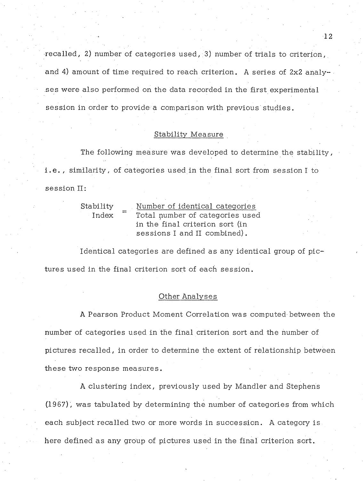recalled, 2) number of categories used, 3) number of trials to criterion, and 4) amount of time required to reach criterion. A series of 2x2 analyses were also performed on the data recorded in the first experimental session in order to provide a comparison with previous studies.

### Stability Measure

The following measure was developed to determine the stability, i.e., similarity, of categories used in the final sort from session I to session II:

| Stability |                   | Number of identical categories  |  |  |  |  |  |
|-----------|-------------------|---------------------------------|--|--|--|--|--|
| Index     | $\equiv$ $\equiv$ | Total number of categories used |  |  |  |  |  |
|           |                   | in the final criterion sort (in |  |  |  |  |  |
|           |                   | sessions I and II combined).    |  |  |  |  |  |

Identical categories are defined as any identical group of pictures used in the final criterion sort of each session.

### Other Analyses

A Pearson Product Moment Correlation was computed between the number of categories used in the final criterion sort and the number of pictures recalled, in order to determine the extent of relationship between these two response measures.

A clustering index, previously used by Mandler and Stephens (1967), w as tabulated by determining the number of categories from which each subject recalled two or more words in succession. A category is here defined as any group of pictures used in the final criterion sort.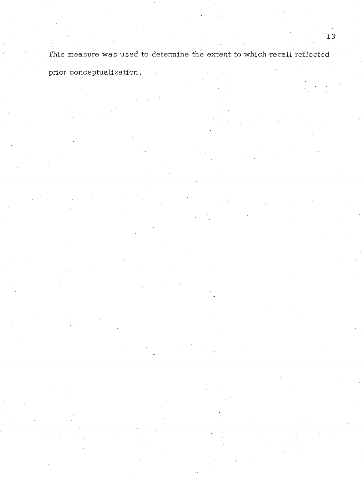This measure was used to determine the extent to which recall reflected prior conceptualization. .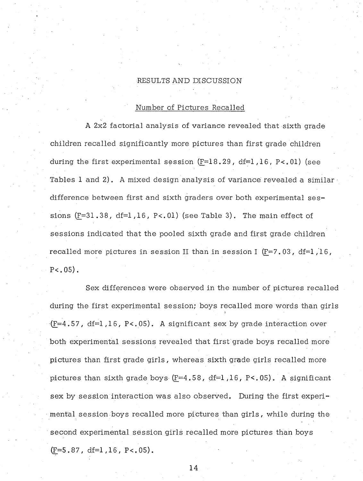### RESULTS AND DISCUSSION

### Number of Pictures Recalled

A 2x2 factorial analy sis of variance revealed that sixth grade children recalled significantly more pictures than first grade children during the first experimental session  $(F=18.29, df=1.16, P<.01)$  (see Tables 1 and 2). A mixed design analysis of variance revealed a similar  $\cdot$ difference between first and sixth graders over both experimental sessions  $(F=31.38, df=1.16, P<.01)$  (see Table 3). The main effect of sessions indicated that the pooled sixth grade and first grade children recalled more pictures in session II than in session I  $(F=7.03, df=1.16,$  $P<.05$ ).

Sex differences were observed in the number of pictures recalled during the first experimental session; boys recalled more words than girls **)** (F=4.57, df=l ,16, P<. 05). A significant sex by grade interaction over both experimental sessions revealed that first grade boys recalled more pictures than first grade girls, whereas sixth grade girls recalled more pictures than sixth grade boys  $(F=4.58, df=1.16, P<.05)$ . A significant sex by session interaction was also observed. During the first experimental session boys recalled more pictures than girls, while during the second experimental session girls recalled more pictures than boys  $(F=5.87, df=1,16, P<.05)$ .

**M**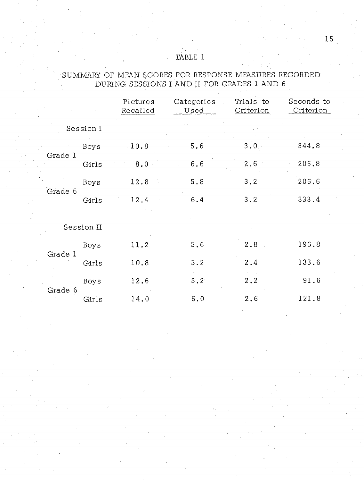# TABLE 1

# SUMMARY OF MEAN SCORES FOR RESPONSE MEASURES RECORDED DURING SESSIONS I AND II FOR GRADES 1 AND 6

|         |            | Pictures<br>Recalled | Categories<br>Used | Trials to<br>Criterion | Seconds to<br>Criterion |
|---------|------------|----------------------|--------------------|------------------------|-------------------------|
|         | Session I  |                      |                    |                        |                         |
|         | Boys       | 10.8                 | 5.6                | 3.0                    | 344.8                   |
| Grade 1 | Girls      | 8.0                  | 6.6                | 2.6                    | 206.8                   |
|         | Boys       | 12.8                 | 5.8                | 3, 2                   | 2.06.6                  |
| Grade 6 | Girls      | 12.4                 | 6.4                | 3.2                    | 333.4                   |
|         | Session II |                      |                    |                        |                         |
| Grade 1 | Boys       | 11.2                 | 5.6                | 2.8                    | 196.8                   |
|         | Girls      | 10.8                 | 5.2                | 2.4                    | 133.6                   |
|         | Boys       | 12.6                 | $5.2^\circ$        | 2.2                    | 91.6                    |
| Grade 6 | Girls      | 14.0                 | 6.0                | 2.6                    | 121.8                   |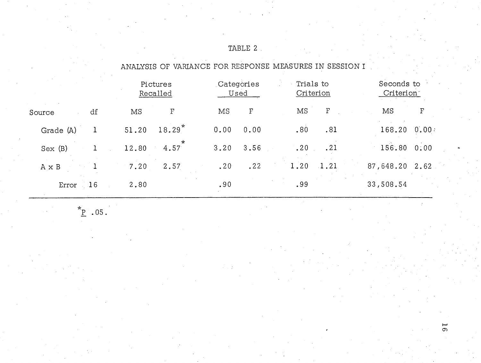|              |       | Pictures<br>Recalled |      | Categories<br>Used |      | Trials to<br>Criterion |  | Seconds to<br>Criterion <sup>-</sup> |       |
|--------------|-------|----------------------|------|--------------------|------|------------------------|--|--------------------------------------|-------|
| df<br>Source | ΜS    | F                    | MS   | $\mathbf{F}% _{0}$ | MS   | $\mathbf F$            |  | MS                                   | F     |
| Grade (A)    | 51.20 | $18.29*$             | 0.00 | 0.00               | .80  | .81                    |  | 168.20                               | 0.00: |
| Sex(B)       | 12.80 | $\star$<br>4.57      | 3.20 | 3.56               | .20  | .21                    |  | 156.80                               | 0:00  |
| A x B        | 7.20  | 2.57                 | .20  | .22                | 1.20 | $\cdot$ 1.21           |  | 87,648.20                            | 2.62  |
| 16<br>Error  | 2,80  |                      | .90  |                    | .99  |                        |  | 33,508.54                            |       |

ANALYSIS OF VARIANCE FOR RESPONSE MEASURES IN SESSION I .

TABLE 2

 $*_{\underline{P}}$  .05.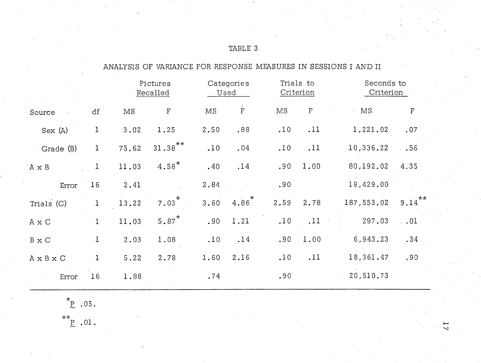|                                  |              | Pictures<br>Recalled |                      | Categories<br>Used |                    | Trials to<br>Criterion |             | Seconds to<br>Criterion |             |
|----------------------------------|--------------|----------------------|----------------------|--------------------|--------------------|------------------------|-------------|-------------------------|-------------|
| Source                           | df           | MS                   | $\mathbf F$          | $\rm MS$           | $\mathbf{\dot{F}}$ | $\overline{\rm MS}$    | $\mathbf F$ | MS                      | $\mathbf F$ |
| Sex(A)                           | $\mathbf{1}$ | 3.02                 | 1.25                 | 2.50               | .88                | .10                    | .11         | 1,221.02                | .07         |
| Grade (B)                        | $\mathbf{1}$ | 75.62                | $31.38***$           | .10                | .04                | .10                    | .11         | 10,336.22               | $. \, .56$  |
| $\mathbf{A}\mathbf{X}$ B         | $\mathbf{1}$ | 11.03                | $-4.58$ <sup>*</sup> | .40                | .14                | .90                    | 1.00        | 80,192.02               | 4.35        |
| Error                            | 16           | 2.41                 |                      | 2.84               |                    | .90                    |             | 18,429.00               |             |
| Trials (C)                       | $\mathbf{1}$ | 13.22                | $7.03*$              | 3.60               | $4.86*$            | 2.59                   | 2.78        | 187,553.02              | $9.14***$   |
| $\mathbbm{A} \times \mathbbm{C}$ | $\mathbf{1}$ | 11.03                | $5.87$ <sup>*</sup>  | .90                | 1.21               | .10                    | .11         | 297.03                  | . .01       |
| $B \times C$                     | $\cdot$ I    | 2.03                 | 1.08                 | .10                | .14                | .90                    | 1.00        | 6,943.23                | .34         |
| A x B x C                        | $\mathbf{1}$ | 5.22                 | 2.78                 | 1.60               | 2.16               | .10                    | .11         | 18,361.47               | .90         |
| Error                            | 16           | 1.88                 |                      | .74                |                    | .90                    |             | $-20,510.73$            |             |
|                                  |              |                      |                      |                    |                    |                        |             |                         |             |

ANALYSIS OF VARIANCE FOR RESPONSE MEASURES IN SESSIONS I AND II

TABLE 3

 $*_{\underline{P}}$  .05.

**\* \*** P .01.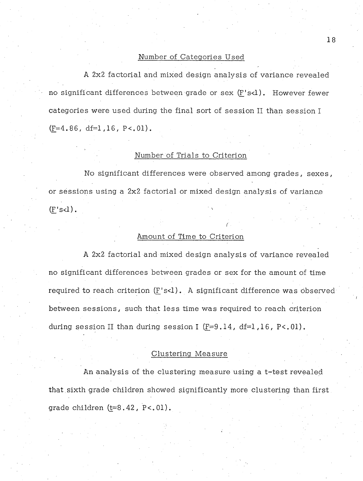### Number of Categories Used

A 2x2 factorial and mixed design analysis of variance revealed no significant differences between grade or sex (F's<l). However fewer categories were used during the final sort of session II than session I  $(F=4.86, df=1, 16, P<.01)$ .

### Number of Trials to Criterion

No significant differences were observed among grades, sexes, or sessions using a 2x2 factorial or mixed design analysis of variance  $(F's < l)$ .

### Amount of Time to Criterion

A 2x2 factorial and mixed design analysis of variance revealed no significant differences between grades or sex for the amount of time required to reach criterion (F's<1). A significant difference was observed between sessions, such that less time was required to reach criterion during session II than during session I  $(F=9.14, df=1.16, P<.01)$ .

### Clustering Measure

An analysis of the clustering measure using a t-test revealed that.sixth grade children showed significantly more clustering than first grade children  $(t=8.42, P<.01)$ .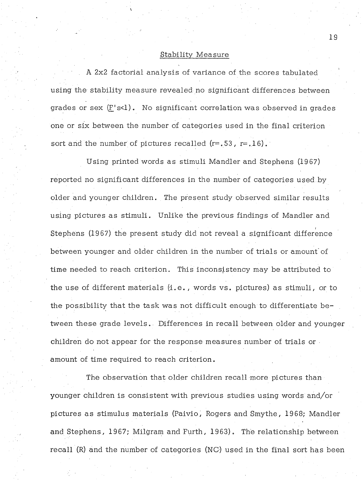### Stability Measure

A 2x2 factorial analysis of variance of the scores tabulated using the stability measure revealed no significant differences between grades or sex  $(F's < l)$ . No significant correlation was observed in grades one or six between the number of categories used in the final criterion sort and the number of pictures recalled  $(r=.53, r=.16)$ .

Using printed words as stimuli Mandler and Stephens (1967) reported no significant differences in the number of categories used.by older and younger children. The present study observed similar results using pictures as stimuli. Unlike the previous findings of Mandler and **i** Stephens (1967) the present study did not reveal a significant difference between younger and older children in the number of trials or amount"of time needed to reach criterion. This inconsistency may be attributed to the use of different materials (i.e., words vs. pictures) as stimuli, or to the possibility that the task was not difficult enough to differentiate between these grade levels. Differences in recall between older and younger children do not appear for the response measures number of trials or amount of time required to reach criterion.

The observation that older children recall more pictures than younger children is consistent with previous studies using words and/or pictures as stimulus materials (Paivio, Rogers and Smythe, 1968; Mandler and Stephens, 1967; Milgram and Furth, 1963). The relationship between recall  $(R)$  and the number of categories  $(NC)$  used in the final sort has been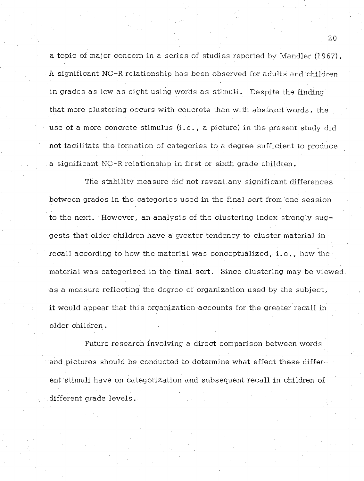a topic of major concern in a series of studies reported by Mandler (1967). A significant NC-R relationship has been observed for adults and children in grades as low as eight using words as stimuli. Despite the finding that more clustering occurs with concrete than with abstract words, the use of a more concrete stimulus (i.e . , a picture) in the present study did not facilitate the formation of categories to a degree sufficient to produce a significant NC-R relationship in first or sixth grade children.

The stability measure did not reveal any significant differences between grades in the categories used in the final sort from one session to the next. However, an analysis of the clustering index strongly suggests that older children have a greater tendency to cluster material in recall according to how the material was conceptualized, i.e., how the material was categorized in the final sort. Since clustering may be viewed as a measure reflecting the degree of organization used by the subject, it would appear that this organization accounts for the greater recall in older children.

Future research involving a direct comparison between words and pictures should be conducted to determine what effect these different stimuli have on categorization and subsequent recall in children of different grade levels.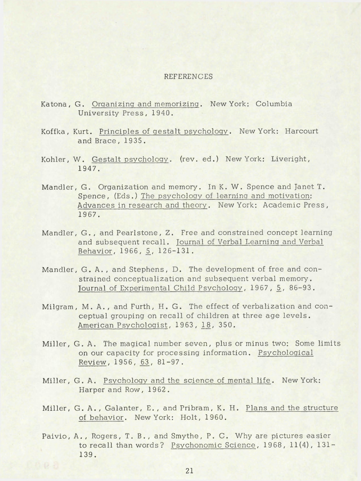#### REFERENCES

- Katona , G. Organizing and memorizing. New York: Columbia University Press, 1940.
- Koffka, Kurt. Principles of gestalt psychology. New York: Harcourt and Brace, 1935.
- Kohler, W. Gestalt psychology. (rev. ed.) New York: Liveright, 1947.
- Mandler, G. Organization and memory. In K. W. Spence and Janet T. Spence, (Eds.) The psychology of learning and motivation: Advances in research and theory. New York: Academic Press, 1967.
- Mandler, G. , and Pearlstone, Z. Free and constrained concept learning and subsequent recall. Journal of Verbal Learning and Verbal Behavior, 1966, 5\_, 126-131.
- Mandler, G. A., and Stephens, D. The development of free and constrained conceptualization and subsequent verbal memory. Journal of Experimental Child Psychology, 1967, 5, 86-93.
- Milgram, M. A., and Furth, H. G. The effect of verbalization and conceptual grouping on recall of children at three age levels. American Psychologist, 1963, 18, 350.
- Miller, G. A. The magical number seven, plus or minus two: Some limits on our capacity for processing information. Psychological Review,  $1956, 63, 81-97.$
- Miller, G. A. Psychology and the science of mental life. New York: Harper and Row, 1962.
- Miller, G. A., Galanter, E., and Pribram, K. H. Plans and the structure of behavior. New York: Holt, 1960.
- Paivio, A. , Rogers, T. B. , and Smythe, P. C. Why are pictures easier to recall than words? Psychonomic Science, 1968, 11(4), 131-139.